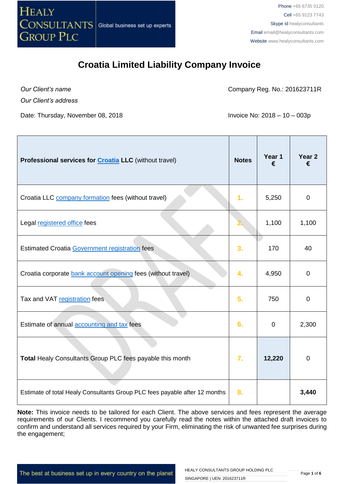

*Our Client's name*

Company Reg. No.: 201623711R

*Our Client's address*

Date: Thursday, November 08, 2018 **Invoice No. 2018 Invoice No. 2018** – 10 – 003p

| Professional services for <b>Croatia LLC</b> (without travel)              | <b>Notes</b> | Year 1<br>€ | Year <sub>2</sub><br>€ |
|----------------------------------------------------------------------------|--------------|-------------|------------------------|
| Croatia LLC company formation fees (without travel)                        | 1.           | 5,250       | $\mathbf 0$            |
| Legal registered office fees                                               |              | 1,100       | 1,100                  |
| <b>Estimated Croatia Government registration fees</b>                      | 3.           | 170         | 40                     |
| Croatia corporate bank account opening fees (without travel)               | 4.           | 4,950       | $\mathbf 0$            |
| Tax and VAT registration fees                                              | 5.           | 750         | $\overline{0}$         |
| Estimate of annual accounting and tax fees                                 | 6.           | 0           | 2,300                  |
| Total Healy Consultants Group PLC fees payable this month                  | 7.           | 12,220      | $\overline{0}$         |
| Estimate of total Healy Consultants Group PLC fees payable after 12 months | 8.           |             | 3,440                  |

**Note:** This invoice needs to be tailored for each Client. The above services and fees represent the average requirements of our Clients. I recommend you carefully read the notes within the attached draft invoices to confirm and understand all services required by your Firm, eliminating the risk of unwanted fee surprises during the engagement;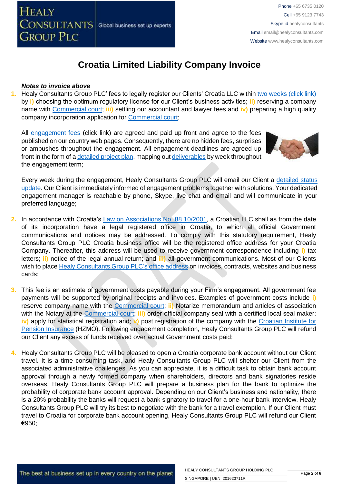

#### *Notes to invoice above*

**1.** Healy Consultants Group PLC' fees to legally register our Clients' Croatia LLC within [two weeks \(click link\)](http://www.healyconsultants.com/croatia-company-registration/fees-timelines/#timelines) by **i)** choosing the optimum regulatory license for our Client's business activities; **ii)** reserving a company name with [Commercial court;](http://www.vsrh.hr/EasyWeb.asp?pcpid=282) **iii)** settling our accountant and lawyer fees and **iv)** preparing a high quality company incorporation application for [Commercial court;](http://www.vsrh.hr/EasyWeb.asp?pcpid=282)

All [engagement fees](http://www.healyconsultants.com/company-registration-fees/) (click link) are agreed and paid up front and agree to the fees published on our country web pages. Consequently, there are no hidden fees, surprises or ambushes throughout the engagement. All engagement deadlines are agreed up front in the form of [a detailed project plan,](http://www.healyconsultants.com/index-important-links/example-project-plan/) mapping ou[t deliverables](http://www.healyconsultants.com/deliverables-to-our-clients/) by week throughout the engagement term;



Every week during the engagement, Healy Consultants Group PLC will email our Client a [detailed status](http://www.healyconsultants.com/index-important-links/weekly-engagement-status-email/)  [update.](http://www.healyconsultants.com/index-important-links/weekly-engagement-status-email/) Our Client is immediately informed of engagement problems together with solutions. Your dedicated engagement manager is reachable by phone, Skype, live chat and email and will communicate in your preferred language;

- **2.** In accordance with Croatia's [Law on Associations No. 88 10/2001,](http://www.legislationline.org/documents/action/popup/id/5882) a Croatian LLC shall as from the date of its incorporation have a legal registered office in Croatia, to which all official Government communications and notices may be addressed. To comply with this statutory requirement, Healy Consultants Group PLC Croatia business office will be the registered office address for your Croatia Company. Thereafter, this address will be used to receive government correspondence including **i)** tax letters; **ii)** notice of the legal annual return; and **iii)** all government communications. Most of our Clients wish to plac[e Healy Consultants Group PLC's](http://www.healyconsultants.com/corporate-outsourcing-services/company-secretary-and-legal-registered-office/) office address on invoices, contracts, websites and business cards;
- **3.** This fee is an estimate of government costs payable during your Firm's engagement. All government fee payments will be supported by original receipts and invoices. Examples of government costs include **i)**  reserve company name with the [Commercial court;](http://www.vsrh.hr/EasyWeb.asp?pcpid=282) **ii)** Notarize memorandum and articles of association with the Notary at the [Commercial court;](http://www.vsrh.hr/EasyWeb.asp?pcpid=282) **iii)** order official company seal with a certified local seal maker; **iv)** apply for statistical registration and; **v)** post registration of the company with the [Croatian Institute for](http://www.mirovinsko.hr/)  [Pension Insurance](http://www.mirovinsko.hr/) (HZMO). Following engagement completion, Healy Consultants Group PLC will refund our Client any excess of funds received over actual Government costs paid;
- **4.** Healy Consultants Group PLC will be pleased to open a Croatia corporate bank account without our Client travel. It is a time consuming task, and Healy Consultants Group PLC will shelter our Client from the associated administrative challenges. As you can appreciate, it is a difficult task to obtain bank account approval through a newly formed company when shareholders, directors and bank signatories reside overseas. Healy Consultants Group PLC will prepare a business plan for the bank to optimize the probability of corporate bank account approval. Depending on our Client's business and nationality, there is a 20% probability the banks will request a bank signatory to travel for a one-hour bank interview. Healy Consultants Group PLC will try its best to negotiate with the bank for a travel exemption. If our Client must travel to Croatia for corporate bank account opening, Healy Consultants Group PLC will refund our Client €950;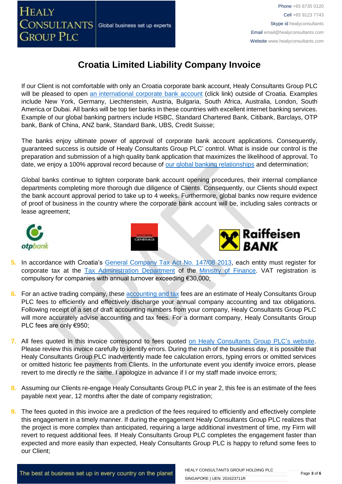

Phone +65 6735 0120 Cell +65 9123 7743 Skype id healyconsultants Email [email@healyconsultants.com](mailto:EMAIL@HEALYCONSULTANTS.COM) Website [www.healyconsultants.com](http://www.healyconsultants.com/)

# **Croatia Limited Liability Company Invoice**

If our Client is not comfortable with only an Croatia corporate bank account, Healy Consultants Group PLC will be pleased to open [an international corporate bank account](http://www.healyconsultants.com/international-banking/) (click link) outside of Croatia. Examples include New York, Germany, Liechtenstein, Austria, Bulgaria, South Africa, Australia, London, South America or Dubai. All banks will be top tier banks in these countries with excellent internet banking services. Example of our global banking partners include HSBC, Standard Chartered Bank, Citibank, Barclays, OTP bank, Bank of China, ANZ bank, Standard Bank, UBS, Credit Suisse;

The banks enjoy ultimate power of approval of corporate bank account applications. Consequently, guaranteed success is outside of Healy Consultants Group PLC' control. What is inside our control is the preparation and submission of a high quality bank application that maximizes the likelihood of approval. To date, we enjoy a 100% approval record because of [our global banking relationships](http://www.healyconsultants.com/international-banking/corporate-accounts/) and determination;

Global banks continue to tighten corporate bank account opening procedures, their internal compliance departments completing more thorough due diligence of Clients. Consequently, our Clients should expect the bank account approval period to take up to 4 weeks. Furthermore, global banks now require evidence of proof of business in the country where the corporate bank account will be, including sales contracts or lease agreement;







- **5.** In accordance with Croatia's [General Company Tax Act No. 147/08 2013,](http://www.porezna-uprava.hr/en_propisi/_layouts/in2.vuk.sp.propisi.intranet/propisi.aspx#id=pro117) each entity must register for corporate tax at the [Tax Administration Department](http://www.porezna-uprava.hr/Stranice/Naslovnica.aspx) of the [Ministry of Finance.](http://www.mfin.hr/en) VAT registration is compulsory for companies with annual turnover exceeding €30,000;
- **6.** For an active trading company, thes[e accounting and tax](http://www.healyconsultants.com/croatia-company-registration/accounting-legal/) fees are an estimate of Healy Consultants Group PLC fees to efficiently and effectively discharge your annual company accounting and tax obligations. Following receipt of a set of draft accounting numbers from your company, Healy Consultants Group PLC will more accurately advise accounting and tax fees. For a dormant company, Healy Consultants Group PLC fees are only €950;
- **7.** All fees quoted in this invoice correspond to fees quoted [on Healy Consultants Group PLC's](http://www.healyconsultants.com/company-registration-fees/) website. Please review this invoice carefully to identify errors. During the rush of the business day, it is possible that Healy Consultants Group PLC inadvertently made fee calculation errors, typing errors or omitted services or omitted historic fee payments from Clients. In the unfortunate event you identify invoice errors, please revert to me directly re the same. I apologize in advance if I or my staff made invoice errors;
- **8.** Assuming our Clients re-engage Healy Consultants Group PLC in year 2, this fee is an estimate of the fees payable next year, 12 months after the date of company registration;
- **9.** The fees quoted in this invoice are a prediction of the fees required to efficiently and effectively complete this engagement in a timely manner. If during the engagement Healy Consultants Group PLC realizes that the project is more complex than anticipated, requiring a large additional investment of time, my Firm will revert to request additional fees. If Healy Consultants Group PLC completes the engagement faster than expected and more easily than expected, Healy Consultants Group PLC is happy to refund some fees to our Client;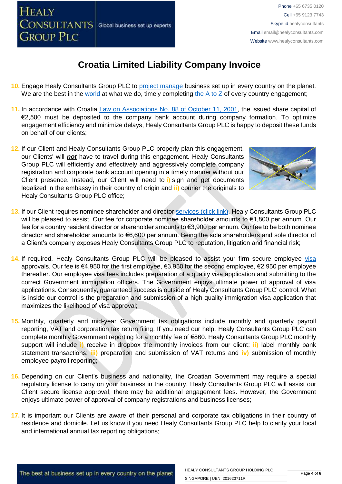

The best at business set up in every country on the planet

# **Croatia Limited Liability Company Invoice**

- **10.** Engage Healy Consultants Group PLC to [project manage](http://www.healyconsultants.com/project-manage-engagements/) business set up in every country on the planet. We are the best in the [world](http://www.healyconsultants.com/best-in-the-world/) at what we do, timely completing the  $A$  to  $Z$  of every country engagement;
- 11. In accordance with Croatia [Law on Associations No. 88 of October](http://www.legislationline.org/documents/action/popup/id/5882) 11, 2001, the issued share capital of €2,500 must be deposited to the company bank account during company formation. To optimize engagement efficiency and minimize delays, Healy Consultants Group PLC is happy to deposit these funds on behalf of our clients;
- **12.** If our Client and Healy Consultants Group PLC properly plan this engagement, our Clients' will *not* have to travel during this engagement. Healy Consultants Group PLC will efficiently and effectively and aggressively complete company registration and corporate bank account opening in a timely manner without our Client presence. Instead, our Client will need to **i)** sign and get documents legalized in the embassy in their country of origin and **ii)** courier the originals to Healy Consultants Group PLC office;
- **13.** If our Client requires nominee shareholder and director services [\(click link\),](http://www.healyconsultants.com/corporate-outsourcing-services/nominee-shareholders-directors/) Healy Consultants Group PLC will be pleased to assist. Our fee for corporate nominee shareholder amounts to €1,800 per annum. Our fee for a country resident director or shareholder amounts to €3,900 per annum. Our fee to be both nominee director and shareholder amounts to €6,600 per annum. Being the sole shareholders and sole director of a Client's company exposes Healy Consultants Group PLC to reputation, litigation and financial risk;
- **14.** If required, Healy Consultants Group PLC will be pleased to assist your firm secure employee [visa](http://www.healyconsultants.com/croatia-company-registration/formation-support-services/) approvals. Our fee is €4,950 for the first employee, €3,950 for the second employee, €2,950 per employee thereafter. Our employee visa fees includes preparation of a quality visa application and submitting to the correct Government immigration officers. The Government enjoys ultimate power of approval of visa applications. Consequently, guaranteed success is outside of Healy Consultants Group PLC' control. What is inside our control is the preparation and submission of a high quality immigration visa application that maximizes the likelihood of visa approval;
- **15.** Monthly, quarterly and mid-year Government tax obligations include monthly and quarterly payroll reporting, VAT and corporation tax return filing. If you need our help, Healy Consultants Group PLC can complete monthly Government reporting for a monthly fee of €860. Healy Consultants Group PLC monthly support will include **i)** receive in dropbox the monthly invoices from our client; **ii)** label monthly bank statement transactions; **iii)** preparation and submission of VAT returns and **iv)** submission of monthly employee payroll reporting;
- **16.** Depending on our Client's business and nationality, the Croatian Government may require a special regulatory license to carry on your business in the country. Healy Consultants Group PLC will assist our Client secure license approval; there may be additional engagement fees. However, the Government enjoys ultimate power of approval of company registrations and business licenses;
- **17.** It is important our Clients are aware of their personal and corporate tax obligations in their country of residence and domicile. Let us know if you need Healy Consultants Group PLC help to clarify your local and international annual tax reporting obligations;



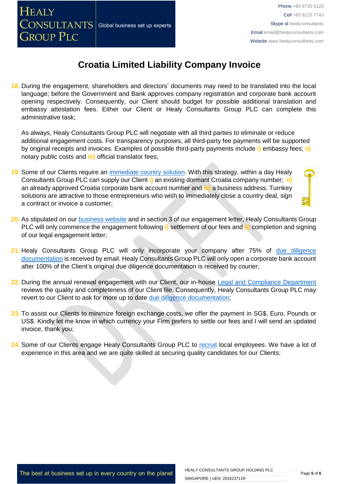

**18.** During the engagement, shareholders and directors' documents may need to be translated into the local language; before the Government and Bank approves company registration and corporate bank account opening respectively. Consequently, our Client should budget for possible additional translation and embassy attestation fees. Either our Client or Healy Consultants Group PLC can complete this administrative task;

As always, Healy Consultants Group PLC will negotiate with all third parties to eliminate or reduce additional engagement costs. For transparency purposes, all third-party fee payments will be supported by original receipts and invoices. Examples of possible third-party payments include **i)** embassy fees; **ii)** notary public costs and **iii)** official translator fees;

**19.** Some of our Clients require an [immediate country solution.](http://www.healyconsultants.com/turnkey-solutions/) With this strategy, within a day Healy Consultants Group PLC can supply our Client **i)** an existing dormant Croatia company number; **ii)** an already approved Croatia corporate bank account number and **iii)** a business address. Turnkey solutions are attractive to those entrepreneurs who wish to immediately close a country deal, sign a contract or invoice a customer;



- **20.** As stipulated on our [business website](http://www.healyconsultants.com/) and in section 3 of our engagement letter, Healy Consultants Group PLC will only commence the engagement following **i)** settlement of our fees and **ii)** completion and signing of our legal engagement letter;
- **21.** Healy Consultants Group PLC will only incorporate your company after 75% of [due diligence](http://www.healyconsultants.com/due-diligence/)  [documentation](http://www.healyconsultants.com/due-diligence/) is received by email. Healy Consultants Group PLC will only open a corporate bank account after 100% of the Client's original due diligence documentation is received by courier;
- **22.** During the annual renewal engagement with our Client, our in-house [Legal and Compliance Department](http://www.healyconsultants.com/about-us/key-personnel/cai-xin-profile/) reviews the quality and completeness of our Client file. Consequently, Healy Consultants Group PLC may revert to our Client to ask for more up to date [due diligence documentation;](http://www.healyconsultants.com/due-diligence/)
- **23.** To assist our Clients to minimize foreign exchange costs, we offer the payment in SG\$, Euro, Pounds or US\$. Kindly let me know in which currency your Firm prefers to settle our fees and I will send an updated invoice, thank you;
- **24.** Some of our Clients engage Healy Consultants Group PLC to [recruit](http://www.healyconsultants.com/corporate-outsourcing-services/how-we-help-our-clients-recruit-quality-employees/) local employees. We have a lot of experience in this area and we are quite skilled at securing quality candidates for our Clients;